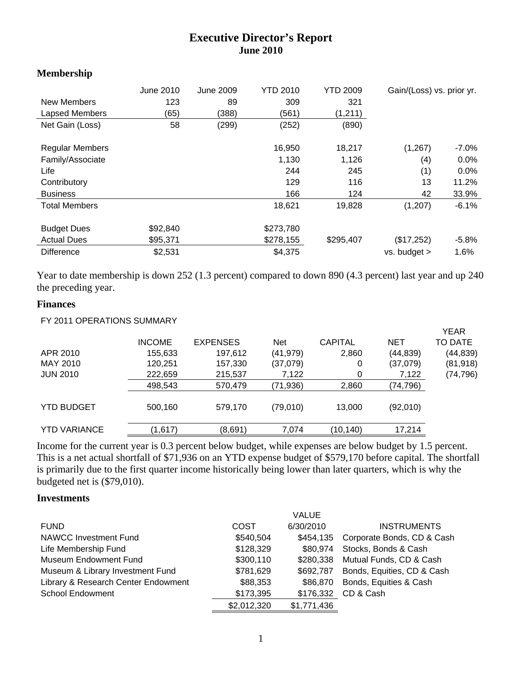# **Executive Director's Report June 2010**

#### **Membership**

| New Members<br>Lapsed Members<br>Net Gain (Loss)                                                              | June 2010<br>123<br>(65)<br>58  | June 2009<br>89<br>(388)<br>(299) | <b>YTD 2010</b><br>309<br>(561)<br>(252)       | <b>YTD 2009</b><br>321<br>(1, 211)<br>(890)    | Gain/(Loss) vs. prior yr.                     |                                                          |
|---------------------------------------------------------------------------------------------------------------|---------------------------------|-----------------------------------|------------------------------------------------|------------------------------------------------|-----------------------------------------------|----------------------------------------------------------|
| <b>Regular Members</b><br>Family/Associate<br>Life<br>Contributory<br><b>Business</b><br><b>Total Members</b> |                                 |                                   | 16,950<br>1,130<br>244<br>129<br>166<br>18,621 | 18,217<br>1,126<br>245<br>116<br>124<br>19,828 | (1, 267)<br>(4)<br>(1)<br>13<br>42<br>(1,207) | -7.0%<br>$0.0\%$<br>$0.0\%$<br>11.2%<br>33.9%<br>$-6.1%$ |
| <b>Budget Dues</b><br><b>Actual Dues</b><br><b>Difference</b>                                                 | \$92,840<br>\$95,371<br>\$2,531 |                                   | \$273,780<br>\$278,155<br>\$4,375              | \$295,407                                      | (\$17,252)<br>$vs.$ budget $>$                | $-5.8\%$<br>1.6%                                         |

Year to date membership is down 252 (1.3 percent) compared to down 890 (4.3 percent) last year and up 240 the preceding year.

#### **Finances**

| FY 2011 OPERATIONS SUMMARY |               |                 |            |                |            |             |
|----------------------------|---------------|-----------------|------------|----------------|------------|-------------|
|                            |               |                 |            |                |            | <b>YEAR</b> |
|                            | <b>INCOME</b> | <b>EXPENSES</b> | <b>Net</b> | <b>CAPITAL</b> | <b>NET</b> | TO DATE     |
| APR 2010                   | 155,633       | 197,612         | (41, 979)  | 2,860          | (44, 839)  | (44,839)    |
| MAY 2010                   | 120,251       | 157,330         | (37,079)   | 0              | (37,079)   | (81,918)    |
| <b>JUN 2010</b>            | 222,659       | 215,537         | 7,122      | 0              | 7,122      | (74, 796)   |
|                            | 498,543       | 570,479         | (71, 936)  | 2,860          | (74, 796)  |             |
| <b>YTD BUDGET</b>          | 500,160       | 579,170         | (79,010)   | 13,000         | (92,010)   |             |
| <b>YTD VARIANCE</b>        | (1,617)       | (8,691)         | 7,074      | (10, 140)      | 17,214     |             |

Income for the current year is 0.3 percent below budget, while expenses are below budget by 1.5 percent. This is a net actual shortfall of \$71,936 on an YTD expense budget of \$579,170 before capital. The shortfall is primarily due to the first quarter income historically being lower than later quarters, which is why the budgeted net is (\$79,010).

### **Investments**

|                                     |             | VALUE       |                            |
|-------------------------------------|-------------|-------------|----------------------------|
| <b>FUND</b>                         | <b>COST</b> | 6/30/2010   | <b>INSTRUMENTS</b>         |
| NAWCC Investment Fund               | \$540,504   | \$454,135   | Corporate Bonds, CD & Cash |
| Life Membership Fund                | \$128,329   | \$80,974    | Stocks, Bonds & Cash       |
| <b>Museum Endowment Fund</b>        | \$300,110   | \$280,338   | Mutual Funds, CD & Cash    |
| Museum & Library Investment Fund    | \$781,629   | \$692.787   | Bonds, Equities, CD & Cash |
| Library & Research Center Endowment | \$88,353    | \$86,870    | Bonds, Equities & Cash     |
| <b>School Endowment</b>             | \$173,395   | \$176,332   | CD & Cash                  |
|                                     | \$2,012,320 | \$1,771,436 |                            |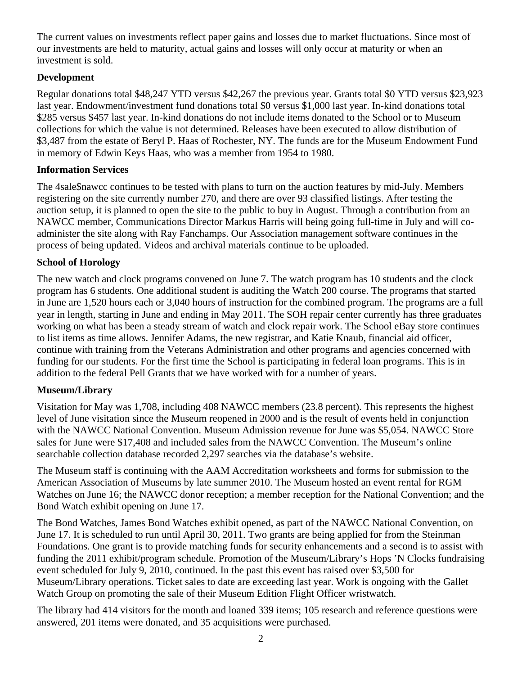The current values on investments reflect paper gains and losses due to market fluctuations. Since most of our investments are held to maturity, actual gains and losses will only occur at maturity or when an investment is sold.

# **Development**

Regular donations total \$48,247 YTD versus \$42,267 the previous year. Grants total \$0 YTD versus \$23,923 last year. Endowment/investment fund donations total \$0 versus \$1,000 last year. In-kind donations total \$285 versus \$457 last year. In-kind donations do not include items donated to the School or to Museum collections for which the value is not determined. Releases have been executed to allow distribution of \$3,487 from the estate of Beryl P. Haas of Rochester, NY. The funds are for the Museum Endowment Fund in memory of Edwin Keys Haas, who was a member from 1954 to 1980.

# **Information Services**

The 4sale\$nawcc continues to be tested with plans to turn on the auction features by mid-July. Members registering on the site currently number 270, and there are over 93 classified listings. After testing the auction setup, it is planned to open the site to the public to buy in August. Through a contribution from an NAWCC member, Communications Director Markus Harris will being going full-time in July and will coadminister the site along with Ray Fanchamps. Our Association management software continues in the process of being updated. Videos and archival materials continue to be uploaded.

# **School of Horology**

The new watch and clock programs convened on June 7. The watch program has 10 students and the clock program has 6 students. One additional student is auditing the Watch 200 course. The programs that started in June are 1,520 hours each or 3,040 hours of instruction for the combined program. The programs are a full year in length, starting in June and ending in May 2011. The SOH repair center currently has three graduates working on what has been a steady stream of watch and clock repair work. The School eBay store continues to list items as time allows. Jennifer Adams, the new registrar, and Katie Knaub, financial aid officer, continue with training from the Veterans Administration and other programs and agencies concerned with funding for our students. For the first time the School is participating in federal loan programs. This is in addition to the federal Pell Grants that we have worked with for a number of years.

# **Museum/Library**

Visitation for May was 1,708, including 408 NAWCC members (23.8 percent). This represents the highest level of June visitation since the Museum reopened in 2000 and is the result of events held in conjunction with the NAWCC National Convention. Museum Admission revenue for June was \$5,054. NAWCC Store sales for June were \$17,408 and included sales from the NAWCC Convention. The Museum's online searchable collection database recorded 2,297 searches via the database's website.

The Museum staff is continuing with the AAM Accreditation worksheets and forms for submission to the American Association of Museums by late summer 2010. The Museum hosted an event rental for RGM Watches on June 16; the NAWCC donor reception; a member reception for the National Convention; and the Bond Watch exhibit opening on June 17.

The Bond Watches, James Bond Watches exhibit opened, as part of the NAWCC National Convention, on June 17. It is scheduled to run until April 30, 2011. Two grants are being applied for from the Steinman Foundations. One grant is to provide matching funds for security enhancements and a second is to assist with funding the 2011 exhibit/program schedule. Promotion of the Museum/Library's Hops 'N Clocks fundraising event scheduled for July 9, 2010, continued. In the past this event has raised over \$3,500 for Museum/Library operations. Ticket sales to date are exceeding last year. Work is ongoing with the Gallet Watch Group on promoting the sale of their Museum Edition Flight Officer wristwatch.

The library had 414 visitors for the month and loaned 339 items; 105 research and reference questions were answered, 201 items were donated, and 35 acquisitions were purchased.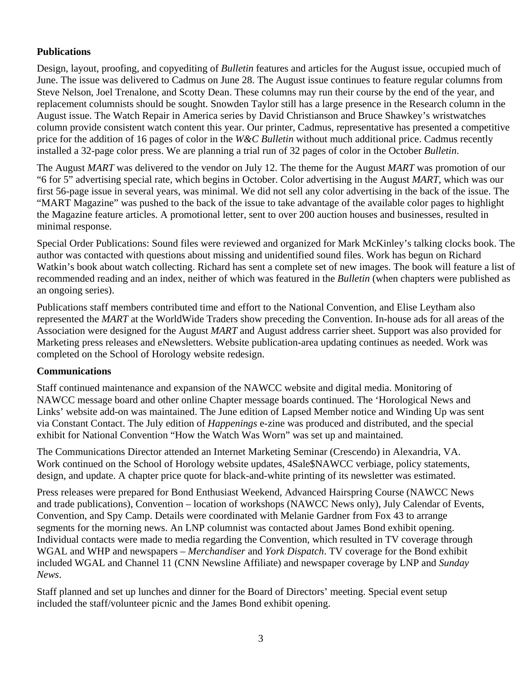# **Publications**

Design, layout, proofing, and copyediting of *Bulletin* features and articles for the August issue, occupied much of June. The issue was delivered to Cadmus on June 28. The August issue continues to feature regular columns from Steve Nelson, Joel Trenalone, and Scotty Dean. These columns may run their course by the end of the year, and replacement columnists should be sought. Snowden Taylor still has a large presence in the Research column in the August issue. The Watch Repair in America series by David Christianson and Bruce Shawkey's wristwatches column provide consistent watch content this year. Our printer, Cadmus, representative has presented a competitive price for the addition of 16 pages of color in the *W&C Bulletin* without much additional price. Cadmus recently installed a 32-page color press. We are planning a trial run of 32 pages of color in the October *Bulletin*.

The August *MART* was delivered to the vendor on July 12. The theme for the August *MART* was promotion of our "6 for 5" advertising special rate, which begins in October. Color advertising in the August *MART*, which was our first 56-page issue in several years, was minimal. We did not sell any color advertising in the back of the issue. The "MART Magazine" was pushed to the back of the issue to take advantage of the available color pages to highlight the Magazine feature articles. A promotional letter, sent to over 200 auction houses and businesses, resulted in minimal response.

Special Order Publications: Sound files were reviewed and organized for Mark McKinley's talking clocks book. The author was contacted with questions about missing and unidentified sound files. Work has begun on Richard Watkin's book about watch collecting. Richard has sent a complete set of new images. The book will feature a list of recommended reading and an index, neither of which was featured in the *Bulletin* (when chapters were published as an ongoing series).

Publications staff members contributed time and effort to the National Convention, and Elise Leytham also represented the *MART* at the WorldWide Traders show preceding the Convention. In-house ads for all areas of the Association were designed for the August *MART* and August address carrier sheet. Support was also provided for Marketing press releases and eNewsletters. Website publication-area updating continues as needed. Work was completed on the School of Horology website redesign.

### **Communications**

Staff continued maintenance and expansion of the NAWCC website and digital media. Monitoring of NAWCC message board and other online Chapter message boards continued. The 'Horological News and Links' website add-on was maintained. The June edition of Lapsed Member notice and Winding Up was sent via Constant Contact. The July edition of *Happenings* e-zine was produced and distributed, and the special exhibit for National Convention "How the Watch Was Worn" was set up and maintained.

The Communications Director attended an Internet Marketing Seminar (Crescendo) in Alexandria, VA. Work continued on the School of Horology website updates, 4Sale\$NAWCC verbiage, policy statements, design, and update. A chapter price quote for black-and-white printing of its newsletter was estimated.

Press releases were prepared for Bond Enthusiast Weekend, Advanced Hairspring Course (NAWCC News and trade publications), Convention – location of workshops (NAWCC News only), July Calendar of Events, Convention, and Spy Camp. Details were coordinated with Melanie Gardner from Fox 43 to arrange segments for the morning news. An LNP columnist was contacted about James Bond exhibit opening. Individual contacts were made to media regarding the Convention, which resulted in TV coverage through WGAL and WHP and newspapers – *Merchandiser* and *York Dispatch*. TV coverage for the Bond exhibit included WGAL and Channel 11 (CNN Newsline Affiliate) and newspaper coverage by LNP and *Sunday News*.

Staff planned and set up lunches and dinner for the Board of Directors' meeting. Special event setup included the staff/volunteer picnic and the James Bond exhibit opening.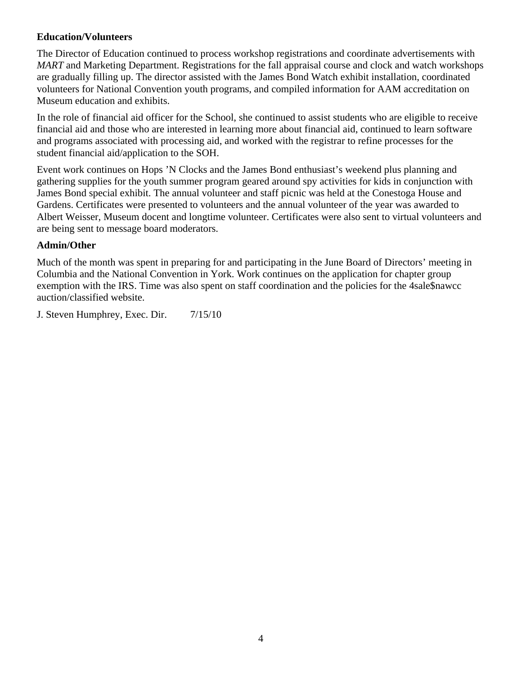# **Education/Volunteers**

The Director of Education continued to process workshop registrations and coordinate advertisements with *MART* and Marketing Department. Registrations for the fall appraisal course and clock and watch workshops are gradually filling up. The director assisted with the James Bond Watch exhibit installation, coordinated volunteers for National Convention youth programs, and compiled information for AAM accreditation on Museum education and exhibits.

In the role of financial aid officer for the School, she continued to assist students who are eligible to receive financial aid and those who are interested in learning more about financial aid, continued to learn software and programs associated with processing aid, and worked with the registrar to refine processes for the student financial aid/application to the SOH.

Event work continues on Hops 'N Clocks and the James Bond enthusiast's weekend plus planning and gathering supplies for the youth summer program geared around spy activities for kids in conjunction with James Bond special exhibit. The annual volunteer and staff picnic was held at the Conestoga House and Gardens. Certificates were presented to volunteers and the annual volunteer of the year was awarded to Albert Weisser, Museum docent and longtime volunteer. Certificates were also sent to virtual volunteers and are being sent to message board moderators.

# **Admin/Other**

Much of the month was spent in preparing for and participating in the June Board of Directors' meeting in Columbia and the National Convention in York. Work continues on the application for chapter group exemption with the IRS. Time was also spent on staff coordination and the policies for the 4sale\$nawcc auction/classified website.

J. Steven Humphrey, Exec. Dir. 7/15/10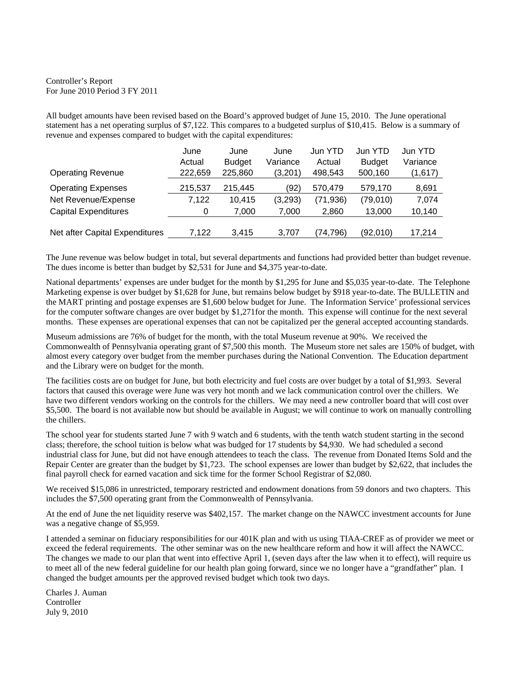Controller's Report For June 2010 Period 3 FY 2011

All budget amounts have been revised based on the Board's approved budget of June 15, 2010. The June operational statement has a net operating surplus of \$7,122. This compares to a budgeted surplus of \$10,415. Below is a summary of revenue and expenses compared to budget with the capital expenditures:

|                                | June    | June          | June     | Jun YTD   | Jun YTD       | Jun YTD  |
|--------------------------------|---------|---------------|----------|-----------|---------------|----------|
|                                | Actual  | <b>Budget</b> | Variance | Actual    | <b>Budget</b> | Variance |
| <b>Operating Revenue</b>       | 222,659 | 225,860       | (3,201)  | 498,543   | 500,160       | (1,617)  |
| <b>Operating Expenses</b>      | 215,537 | 215,445       | (92)     | 570.479   | 579,170       | 8,691    |
| Net Revenue/Expense            | 7.122   | 10.415        | (3,293)  | (71, 936) | (79,010)      | 7,074    |
| <b>Capital Expenditures</b>    | 0       | 7,000         | 7,000    | 2,860     | 13.000        | 10,140   |
|                                |         |               |          |           |               |          |
| Net after Capital Expenditures | 7.122   | 3.415         | 3.707    | (74.796)  | (92,010)      | 17.214   |

The June revenue was below budget in total, but several departments and functions had provided better than budget revenue. The dues income is better than budget by \$2,531 for June and \$4,375 year-to-date.

National departments' expenses are under budget for the month by \$1,295 for June and \$5,035 year-to-date. The Telephone Marketing expense is over budget by \$1,628 for June, but remains below budget by \$918 year-to-date. The BULLETIN and the MART printing and postage expenses are \$1,600 below budget for June. The Information Service' professional services for the computer software changes are over budget by \$1,271for the month. This expense will continue for the next several months. These expenses are operational expenses that can not be capitalized per the general accepted accounting standards.

Museum admissions are 76% of budget for the month, with the total Museum revenue at 90%. We received the Commonwealth of Pennsylvania operating grant of \$7,500 this month. The Museum store net sales are 150% of budget, with almost every category over budget from the member purchases during the National Convention. The Education department and the Library were on budget for the month.

The facilities costs are on budget for June, but both electricity and fuel costs are over budget by a total of \$1,993. Several factors that caused this overage were June was very hot month and we lack communication control over the chillers. We have two different vendors working on the controls for the chillers. We may need a new controller board that will cost over \$5,500. The board is not available now but should be available in August; we will continue to work on manually controlling the chillers.

The school year for students started June 7 with 9 watch and 6 students, with the tenth watch student starting in the second class; therefore, the school tuition is below what was budged for 17 students by \$4,930. We had scheduled a second industrial class for June, but did not have enough attendees to teach the class. The revenue from Donated Items Sold and the Repair Center are greater than the budget by \$1,723. The school expenses are lower than budget by \$2,622, that includes the final payroll check for earned vacation and sick time for the former School Registrar of \$2,080.

We received \$15,086 in unrestricted, temporary restricted and endowment donations from 59 donors and two chapters. This includes the \$7,500 operating grant from the Commonwealth of Pennsylvania.

At the end of June the net liquidity reserve was \$402,157. The market change on the NAWCC investment accounts for June was a negative change of \$5,959.

I attended a seminar on fiduciary responsibilities for our 401K plan and with us using TIAA-CREF as of provider we meet or exceed the federal requirements. The other seminar was on the new healthcare reform and how it will affect the NAWCC. The changes we made to our plan that went into effective April 1, (seven days after the law when it to effect), will require us to meet all of the new federal guideline for our health plan going forward, since we no longer have a "grandfather" plan. I changed the budget amounts per the approved revised budget which took two days.

Charles J. Auman Controller July 9, 2010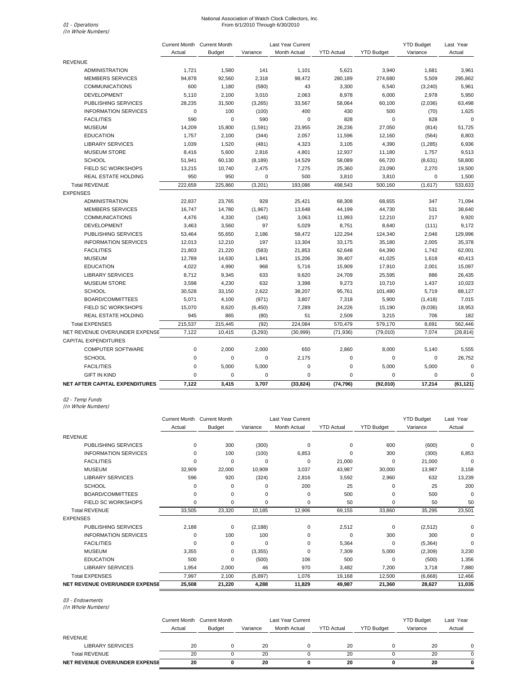### National Association of Watch Clock Collectors, Inc.<br>71 - *Operations* From 6/1/2010 Through 6/30/2010

01 - Operations<br>(In Whole Numbers)

|                                | Current Month Current Month |               |             | Last Year Current |                   |                   | <b>YTD Budget</b> | Last Year   |
|--------------------------------|-----------------------------|---------------|-------------|-------------------|-------------------|-------------------|-------------------|-------------|
|                                | Actual                      | <b>Budget</b> | Variance    | Month Actual      | <b>YTD Actual</b> | <b>YTD Budget</b> | Variance          | Actual      |
| <b>REVENUE</b>                 |                             |               |             |                   |                   |                   |                   |             |
| <b>ADMINISTRATION</b>          | 1,721                       | 1,580         | 141         | 1,101             | 5,621             | 3,940             | 1,681             | 3,961       |
| <b>MEMBERS SERVICES</b>        | 94,878                      | 92,560        | 2,318       | 98,472            | 280,189           | 274,680           | 5,509             | 295,862     |
| <b>COMMUNICATIONS</b>          | 600                         | 1,180         | (580)       | 43                | 3,300             | 6,540             | (3,240)           | 5,961       |
| <b>DEVELOPMENT</b>             | 5,110                       | 2,100         | 3,010       | 2,063             | 8,978             | 6,000             | 2,978             | 5,950       |
| PUBLISHING SERVICES            | 28,235                      | 31,500        | (3,265)     | 33,567            | 58,064            | 60,100            | (2,036)           | 63,498      |
| <b>INFORMATION SERVICES</b>    | $\pmb{0}$                   | 100           | (100)       | 400               | 430               | 500               | (70)              | 1,625       |
| <b>FACILITIES</b>              | 590                         | 0             | 590         | $\mathbf 0$       | 828               | $\mathbf 0$       | 828               | $\mathbf 0$ |
| <b>MUSEUM</b>                  | 14,209                      | 15,800        | (1,591)     | 23,955            | 26,236            | 27,050            | (814)             | 51,725      |
| <b>EDUCATION</b>               | 1,757                       | 2,100         | (344)       | 2,057             | 11,596            | 12,160            | (564)             | 8,803       |
| <b>LIBRARY SERVICES</b>        | 1,039                       | 1,520         | (481)       | 4,323             | 3,105             | 4,390             | (1,285)           | 6,936       |
| <b>MUSEUM STORE</b>            | 8,416                       | 5,600         | 2,816       | 4,801             | 12,937            | 11,180            | 1,757             | 9,513       |
| <b>SCHOOL</b>                  | 51,941                      | 60,130        | (8, 189)    | 14,529            | 58,089            | 66,720            | (8,631)           | 58,800      |
| FIELD SC WORKSHOPS             | 13,215                      | 10,740        | 2,475       | 7,275             | 25,360            | 23,090            | 2,270             | 19,500      |
| <b>REAL ESTATE HOLDING</b>     | 950                         | 950           | 0           | 500               | 3,810             | 3,810             | 0                 | 1,500       |
| <b>Total REVENUE</b>           | 222,659                     | 225,860       | (3,201)     | 193,086           | 498,543           | 500,160           | (1,617)           | 533,633     |
| <b>EXPENSES</b>                |                             |               |             |                   |                   |                   |                   |             |
| <b>ADMINISTRATION</b>          | 22,837                      | 23,765        | 928         | 25,421            | 68,308            | 68,655            | 347               | 71,094      |
| <b>MEMBERS SERVICES</b>        | 16,747                      | 14,780        | (1,967)     | 13,648            | 44,199            | 44,730            | 531               | 38,640      |
| <b>COMMUNICATIONS</b>          | 4,476                       | 4,330         | (146)       | 3,063             | 11,993            | 12,210            | 217               | 9,920       |
| <b>DEVELOPMENT</b>             | 3,463                       | 3,560         | 97          | 5,029             | 8,751             | 8,640             | (111)             | 9,172       |
| PUBLISHING SERVICES            | 53,464                      | 55,650        | 2,186       | 58,472            | 122,294           | 124,340           | 2,046             | 129,996     |
| <b>INFORMATION SERVICES</b>    | 12,013                      | 12,210        | 197         | 13,304            | 33,175            | 35,180            | 2,005             | 35,378      |
| <b>FACILITIES</b>              | 21,803                      | 21,220        | (583)       | 21,853            | 62,648            | 64,390            | 1,742             | 62,001      |
| <b>MUSEUM</b>                  | 12,789                      | 14,630        | 1,841       | 15,206            | 39,407            | 41,025            | 1,618             | 40,413      |
| <b>EDUCATION</b>               | 4,022                       | 4,990         | 968         | 5,716             | 15,909            | 17,910            | 2,001             | 15,097      |
| <b>LIBRARY SERVICES</b>        | 8,712                       | 9,345         | 633         | 9,620             | 24,709            | 25,595            | 886               | 26,435      |
| <b>MUSEUM STORE</b>            | 3,598                       | 4,230         | 632         | 3,398             | 9,273             | 10,710            | 1,437             | 10,023      |
| <b>SCHOOL</b>                  | 30,528                      | 33,150        | 2,622       | 38,207            | 95,761            | 101,480           | 5,719             | 88,127      |
| BOARD/COMMITTEES               | 5,071                       | 4,100         | (971)       | 3,807             | 7,318             | 5,900             | (1, 418)          | 7,015       |
| FIELD SC WORKSHOPS             | 15,070                      | 8,620         | (6, 450)    | 7,289             | 24,226            | 15,190            | (9,036)           | 18,953      |
| <b>REAL ESTATE HOLDING</b>     | 945                         | 865           | (80)        | 51                | 2,509             | 3,215             | 706               | 182         |
| <b>Total EXPENSES</b>          | 215,537                     | 215,445       | (92)        | 224,084           | 570,479           | 579,170           | 8,691             | 562,446     |
| NET REVENUE OVER/UNDER EXPENSE | 7,122                       | 10.415        | (3, 293)    | (30, 999)         | (71, 936)         | (79,010)          | 7,074             | (28, 814)   |
| <b>CAPITAL EXPENDITURES</b>    |                             |               |             |                   |                   |                   |                   |             |
| <b>COMPUTER SOFTWARE</b>       | $\mathsf 0$                 | 2,000         | 2,000       | 650               | 2,860             | 8,000             | 5,140             | 5,555       |
| <b>SCHOOL</b>                  | $\mathsf 0$                 | $\mathbf 0$   | $\mathbf 0$ | 2,175             | 0                 | $\mathbf 0$       | $\mathbf 0$       | 26,752      |
| <b>FACILITIES</b>              | $\pmb{0}$                   | 5,000         | 5,000       | $\mathbf 0$       | 0                 | 5,000             | 5,000             | $\mathbf 0$ |
| <b>GIFT IN KIND</b>            | $\mathbf 0$                 | $\mathbf 0$   | 0           | $\mathbf 0$       | 0                 | 0                 | $\mathbf 0$       | $\mathbf 0$ |
| NET AFTER CAPITAL EXPENDITURES | 7,122                       | 3,415         | 3,707       | (33, 824)         | (74, 796)         | (92,010)          | 17,214            | (61, 121)   |

02 - Temp Funds (In Whole Numbers)

|                                | <b>Current Month</b> | <b>Current Month</b> |          | <b>Last Year Current</b> |                   |                   | <b>YTD Budget</b> | Last Year |
|--------------------------------|----------------------|----------------------|----------|--------------------------|-------------------|-------------------|-------------------|-----------|
|                                | Actual               | Budget               | Variance | <b>Month Actual</b>      | <b>YTD Actual</b> | <b>YTD Budget</b> | Variance          | Actual    |
| <b>REVENUE</b>                 |                      |                      |          |                          |                   |                   |                   |           |
| PUBLISHING SERVICES            | 0                    | 300                  | (300)    | $\Omega$                 | 0                 | 600               | (600)             | $\Omega$  |
| <b>INFORMATION SERVICES</b>    | 0                    | 100                  | (100)    | 6,853                    | 0                 | 300               | (300)             | 6,853     |
| <b>FACILITIES</b>              | $\Omega$             | $\Omega$             | 0        | $\Omega$                 | 21,000            | 0                 | 21,000            | $\Omega$  |
| <b>MUSEUM</b>                  | 32,909               | 22,000               | 10,909   | 3,037                    | 43,987            | 30,000            | 13,987            | 3,158     |
| <b>LIBRARY SERVICES</b>        | 596                  | 920                  | (324)    | 2,816                    | 3,592             | 2,960             | 632               | 13,239    |
| <b>SCHOOL</b>                  | 0                    | 0                    | 0        | 200                      | 25                | 0                 | 25                | 200       |
| BOARD/COMMITTEES               | 0                    | $\Omega$             | 0        | $\Omega$                 | 500               | 0                 | 500               | 0         |
| <b>FIELD SC WORKSHOPS</b>      | 0                    | $\mathbf 0$          | 0        | $\mathbf 0$              | 50                | 0                 | 50                | 50        |
| <b>Total REVENUE</b>           | 33,505               | 23,320               | 10,185   | 12,906                   | 69,155            | 33,860            | 35,295            | 23,501    |
| <b>EXPENSES</b>                |                      |                      |          |                          |                   |                   |                   |           |
| <b>PUBLISHING SERVICES</b>     | 2,188                | $\Omega$             | (2, 188) | 0                        | 2,512             | $\mathbf 0$       | (2,512)           | 0         |
| <b>INFORMATION SERVICES</b>    | 0                    | 100                  | 100      | 0                        | 0                 | 300               | 300               | 0         |
| <b>FACILITIES</b>              | $\Omega$             | $\Omega$             | $\Omega$ | $\Omega$                 | 5,364             | $\mathbf 0$       | (5,364)           | $\Omega$  |
| <b>MUSEUM</b>                  | 3,355                | 0                    | (3,355)  | $\Omega$                 | 7,309             | 5,000             | (2,309)           | 3,230     |
| <b>EDUCATION</b>               | 500                  | 0                    | (500)    | 106                      | 500               | $\Omega$          | (500)             | 1,356     |
| <b>LIBRARY SERVICES</b>        | 1,954                | 2,000                | 46       | 970                      | 3,482             | 7,200             | 3,718             | 7,880     |
| <b>Total EXPENSES</b>          | 7,997                | 2,100                | (5,897)  | 1,076                    | 19,168            | 12,500            | (6,668)           | 12,466    |
| NET REVENUE OVER/UNDER EXPENSE | 25,508               | 21,220               | 4,288    | 11,829                   | 49,987            | 21,360            | 28,627            | 11,035    |

03 - Endowments

(In Whole Numbers)

|                                | <b>Current Month</b><br>Actual | Current Month<br><b>Budget</b> | Variance | Last Year Current<br><b>Month Actual</b> | <b>YTD Actual</b> | <b>YTD Budget</b> | <b>YTD Budget</b><br>Variance | Last Year<br>Actual |
|--------------------------------|--------------------------------|--------------------------------|----------|------------------------------------------|-------------------|-------------------|-------------------------------|---------------------|
| <b>REVENUE</b>                 |                                |                                |          |                                          |                   |                   |                               |                     |
| LIBRARY SERVICES               | 20                             |                                | 20       |                                          | 20                |                   | 20                            |                     |
| <b>Total REVENUE</b>           | 20                             |                                | 20       |                                          | 20                |                   | 20                            |                     |
| NET REVENUE OVER/UNDER EXPENSE | 20                             |                                | 20       | 0                                        | 20                |                   | 20                            | 0                   |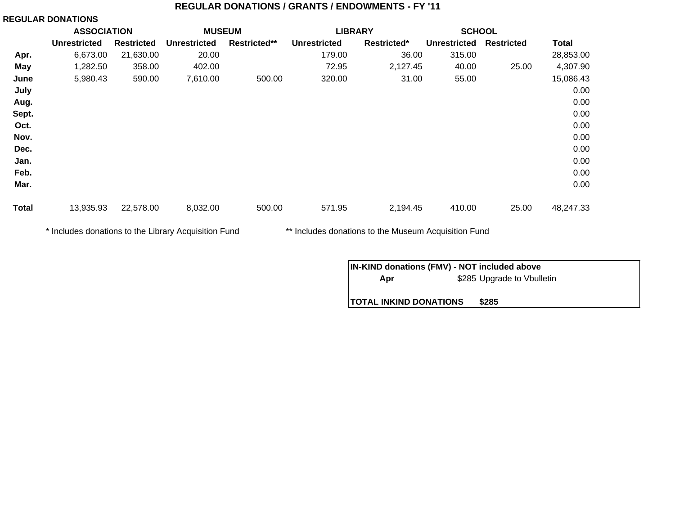#### **REGULAR DONATIONS / GRANTS / ENDOWMENTS - FY '11**

#### **REGULAR DONATIONS**

|              | <b>ASSOCIATION</b>  |                   | <b>MUSEUM</b>       |              | <b>LIBRARY</b><br><b>SCHOOL</b> |             |                     |                   |              |  |
|--------------|---------------------|-------------------|---------------------|--------------|---------------------------------|-------------|---------------------|-------------------|--------------|--|
|              | <b>Unrestricted</b> | <b>Restricted</b> | <b>Unrestricted</b> | Restricted** | <b>Unrestricted</b>             | Restricted* | <b>Unrestricted</b> | <b>Restricted</b> | <b>Total</b> |  |
| Apr.         | 6,673.00            | 21,630.00         | 20.00               |              | 179.00                          | 36.00       | 315.00              |                   | 28,853.00    |  |
| May          | 1,282.50            | 358.00            | 402.00              |              | 72.95                           | 2,127.45    | 40.00               | 25.00             | 4,307.90     |  |
| June         | 5,980.43            | 590.00            | 7,610.00            | 500.00       | 320.00                          | 31.00       | 55.00               |                   | 15,086.43    |  |
| July         |                     |                   |                     |              |                                 |             |                     |                   | 0.00         |  |
| Aug.         |                     |                   |                     |              |                                 |             |                     |                   | 0.00         |  |
| Sept.        |                     |                   |                     |              |                                 |             |                     |                   | 0.00         |  |
| Oct.         |                     |                   |                     |              |                                 |             |                     |                   | 0.00         |  |
| Nov.         |                     |                   |                     |              |                                 |             |                     |                   | 0.00         |  |
| Dec.         |                     |                   |                     |              |                                 |             |                     |                   | 0.00         |  |
| Jan.         |                     |                   |                     |              |                                 |             |                     |                   | 0.00         |  |
| Feb.         |                     |                   |                     |              |                                 |             |                     |                   | 0.00         |  |
| Mar.         |                     |                   |                     |              |                                 |             |                     |                   | 0.00         |  |
| <b>Total</b> | 13,935.93           | 22,578.00         | 8,032.00            | 500.00       | 571.95                          | 2,194.45    | 410.00              | 25.00             | 48,247.33    |  |

\* Includes donations to the Library Acquisition Fund \*\* Includes donations to the Museum Acquisition Fund

| <b>IN-KIND donations (FMV) - NOT included above</b> |  |                            |  |  |  |  |  |
|-----------------------------------------------------|--|----------------------------|--|--|--|--|--|
| Apr                                                 |  | \$285 Upgrade to Vbulletin |  |  |  |  |  |
|                                                     |  |                            |  |  |  |  |  |
| <b>TOTAL INKIND DONATIONS</b>                       |  | \$285                      |  |  |  |  |  |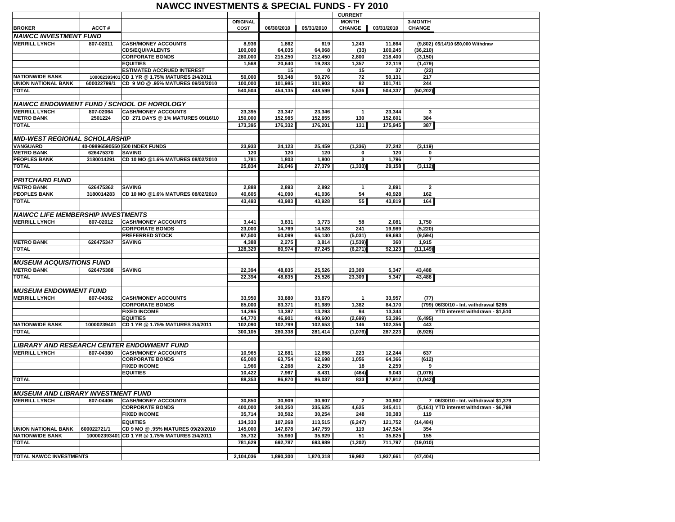#### **NAWCC INVESTMENTS & SPECIAL FUNDS - FY 2010**

|                                           |             |                                                  |                 |            |            | <b>CURRENT</b>  |            |                |                                          |
|-------------------------------------------|-------------|--------------------------------------------------|-----------------|------------|------------|-----------------|------------|----------------|------------------------------------------|
|                                           |             |                                                  | <b>ORIGINAL</b> |            |            | <b>MONTH</b>    |            | 3-MONTH        |                                          |
| <b>BROKER</b>                             | ACCT#       |                                                  | COST            | 06/30/2010 | 05/31/2010 | <b>CHANGE</b>   | 03/31/2010 | <b>CHANGE</b>  |                                          |
| <b>NAWCC INVESTMENT FUND</b>              |             |                                                  |                 |            |            |                 |            |                |                                          |
| <b>MERRILL LYNCH</b>                      | 807-02011   | <b>CASH/MONEY ACCOUNTS</b>                       | 8,936           | 1,862      | 619        | 1,243           | 11,664     |                | (9,802) 05/14/10 \$50,000 Withdraw       |
|                                           |             | <b>CDS/EQUIVALENTS</b>                           | 100,000         | 64,035     | 64,068     | (33)            | 100,245    | (36, 210)      |                                          |
|                                           |             | <b>CORPORATE BONDS</b>                           | 280,000         | 215,250    | 212,450    | 2,800           | 218,400    | (3, 150)       |                                          |
|                                           |             |                                                  |                 |            |            |                 |            |                |                                          |
|                                           |             | <b>EQUITIES</b>                                  | 1,568           | 20,640     | 19,283     | 1,357           | 22,119     | (1, 479)       |                                          |
|                                           |             | <b>ESTIMATED ACCRUED INTEREST</b>                |                 | 15         | 0          | 15              | 37         | (22)           |                                          |
| <b>NATIONWIDE BANK</b>                    |             | 100002393401 CD 1 YR @ 1.75% MATURES 2/4/2011    | 50,000          | 50,348     | 50,276     | $\overline{72}$ | 50,131     | 217            |                                          |
| <b>UNION NATIONAL BANK</b>                | 600022799/1 | CD 9 MO @.95% MATURES 09/20/2010                 | 100,000         | 101,985    | 101,903    | 82              | 101,741    | 244            |                                          |
| <b>TOTAL</b>                              |             |                                                  | 540,504         | 454,135    | 448,599    | 5,536           | 504,337    | (50, 202)      |                                          |
|                                           |             |                                                  |                 |            |            |                 |            |                |                                          |
|                                           |             | <b>NAWCC ENDOWMENT FUND / SCHOOL OF HOROLOGY</b> |                 |            |            |                 |            |                |                                          |
| <b>MERRILL LYNCH</b>                      | 807-02064   | <b>CASH/MONEY ACCOUNTS</b>                       | 23,395          | 23,347     | 23,346     | $\mathbf{1}$    | 23,344     | 3              |                                          |
| <b>METRO BANK</b>                         | 2501224     | CD 271 DAYS @ 1% MATURES 09/16/10                | 150,000         | 152,985    | 152,855    | 130             | 152,601    | 384            |                                          |
| <b>TOTAL</b>                              |             |                                                  | 173,395         | 176,332    | 176,201    | 131             | 175,945    | 387            |                                          |
|                                           |             |                                                  |                 |            |            |                 |            |                |                                          |
| <b>MID-WEST REGIONAL SCHOLARSHIP</b>      |             |                                                  |                 |            |            |                 |            |                |                                          |
| <b>VANGUARD</b>                           |             | 40-09896590550 500 INDEX FUNDS                   | 23,933          | 24,123     | 25,459     |                 | 27,242     |                |                                          |
|                                           |             |                                                  |                 |            |            | (1, 336)        |            | (3, 119)       |                                          |
| <b>METRO BANK</b>                         | 626475370   | <b>SAVING</b>                                    | 120             | 120        | 120        | 0               | 120        | 0              |                                          |
| <b>PEOPLES BANK</b>                       | 3180014291  | CD 10 MO @1.6% MATURES 08/02/2010                | 1,781           | 1,803      | 1,800      | 3               | 1,796      | $\overline{7}$ |                                          |
| <b>TOTAL</b>                              |             |                                                  | 25,834          | 26,046     | 27,379     | (1, 333)        | 29,158     | (3, 112)       |                                          |
|                                           |             |                                                  |                 |            |            |                 |            |                |                                          |
| PRITCHARD FUND                            |             |                                                  |                 |            |            |                 |            |                |                                          |
| <b>METRO BANK</b>                         | 626475362   | <b>SAVING</b>                                    | 2,888           | 2,893      | 2,892      | $\mathbf{1}$    | 2,891      | $\overline{2}$ |                                          |
| <b>PEOPLES BANK</b>                       | 3180014283  | CD 10 MO @1.6% MATURES 08/02/2010                | 40,605          | 41,090     | 41,036     | 54              | 40.928     | 162            |                                          |
| TOTAL                                     |             |                                                  | 43,493          | 43,983     | 43,928     | 55              | 43,819     | 164            |                                          |
|                                           |             |                                                  |                 |            |            |                 |            |                |                                          |
| <b>NAWCC LIFE MEMBERSHIP INVESTMENTS</b>  |             |                                                  |                 |            |            |                 |            |                |                                          |
| <b>MERRILL LYNCH</b>                      | 807-02012   | <b>CASH/MONEY ACCOUNTS</b>                       | 3,441           | 3,831      | 3,773      | 58              | 2,081      | 1,750          |                                          |
|                                           |             | <b>CORPORATE BONDS</b>                           | 23,000          | 14,769     | 14,528     | 241             | 19,989     | (5, 220)       |                                          |
|                                           |             | <b>PREFERRED STOCK</b>                           | 97,500          | 60,099     | 65,130     | (5,031)         | 69,693     | (9, 594)       |                                          |
| <b>METRO BANK</b>                         | 626475347   | <b>SAVING</b>                                    | 4,388           | 2,275      | 3,814      | (1, 539)        | 360        | 1,915          |                                          |
| <b>TOTAL</b>                              |             |                                                  |                 |            |            |                 |            |                |                                          |
|                                           |             |                                                  | 128,329         | 80,974     | 87,245     | (6, 271)        | 92,123     | (11, 149)      |                                          |
|                                           |             |                                                  |                 |            |            |                 |            |                |                                          |
| <b>MUSEUM ACQUISITIONS FUND</b>           |             |                                                  |                 |            |            |                 |            |                |                                          |
| <b>METRO BANK</b>                         | 626475388   | <b>SAVING</b>                                    | 22,394          | 48,835     | 25,526     | 23,309          | 5.347      | 43,488         |                                          |
| <b>TOTAL</b>                              |             |                                                  | 22,394          | 48,835     | 25,526     | 23,309          | 5,347      | 43,488         |                                          |
|                                           |             |                                                  |                 |            |            |                 |            |                |                                          |
| <b>MUSEUM ENDOWMENT FUND</b>              |             |                                                  |                 |            |            |                 |            |                |                                          |
| <b>MERRILL LYNCH</b>                      | 807-04362   | <b>CASH/MONEY ACCOUNTS</b>                       | 33,950          | 33,880     | 33,879     | $\mathbf{1}$    | 33,957     | (77)           |                                          |
|                                           |             | <b>CORPORATE BONDS</b>                           | 85,000          | 83,371     | 81,989     | 1,382           | 84,170     |                | (799) 06/30/10 - Int. withdrawal \$265   |
|                                           |             | <b>FIXED INCOME</b>                              | 14,295          | 13,387     | 13,293     | 94              | 13,344     |                | YTD interest withdrawn - \$1,510         |
|                                           |             | <b>EQUITIES</b>                                  | 64,770          | 46,901     | 49,600     | (2,699)         | 53,396     | (6, 495)       |                                          |
| <b>NATIONWIDE BANK</b>                    | 10000239401 | CD 1 YR @ 1.75% MATURES 2/4/2011                 | 102,090         | 102,799    | 102,653    | 146             | 102,356    | 443            |                                          |
| <b>TOTAL</b>                              |             |                                                  | 300,105         | 280,338    | 281,414    | (1,076)         | 287,223    | (6,928)        |                                          |
|                                           |             |                                                  |                 |            |            |                 |            |                |                                          |
|                                           |             | LIBRARY AND RESEARCH CENTER ENDOWMENT FUND       |                 |            |            |                 |            |                |                                          |
|                                           |             |                                                  |                 |            |            |                 |            |                |                                          |
| <b>MERRILL LYNCH</b>                      | 807-04380   | <b>CASH/MONEY ACCOUNTS</b>                       | 10.965          | 12,881     | 12,658     | 223             | 12.244     | 637            |                                          |
|                                           |             | <b>CORPORATE BONDS</b>                           | 65,000          | 63,754     | 62,698     | 1.056           | 64,366     | (612)          |                                          |
|                                           |             | <b>FIXED INCOME</b>                              | 1,966           | 2,268      | 2,250      | 18              | 2,259      | 9              |                                          |
|                                           |             | <b>EQUITIES</b>                                  | 10,422          | 7,967      | 8,431      | (464)           | 9,043      | (1,076)        |                                          |
| <b>TOTAL</b>                              |             |                                                  | 88,353          | 86,870     | 86,037     | 833             | 87,912     | (1, 042)       |                                          |
|                                           |             |                                                  |                 |            |            |                 |            |                |                                          |
| <b>MUSEUM AND LIBRARY INVESTMENT FUND</b> |             |                                                  |                 |            |            |                 |            |                |                                          |
| <b>MERRILL LYNCH</b>                      | 807-04406   | <b>CASH/MONEY ACCOUNTS</b>                       | 30,850          | 30,909     | 30,907     | $\overline{2}$  | 30,902     |                | 7 06/30/10 - Int. withdrawal \$1,379     |
|                                           |             | <b>CORPORATE BONDS</b>                           | 400,000         | 340,250    | 335,625    | 4,625           | 345,411    |                | (5,161) YTD interest withdrawn - \$6,798 |
|                                           |             | <b>FIXED INCOME</b>                              | 35,714          | 30,502     | 30,254     | 248             | 30,383     | 119            |                                          |
|                                           |             | <b>EQUITIES</b>                                  |                 | 107.268    | 113.515    | (6, 247)        | 121.752    | (14, 484)      |                                          |
|                                           |             |                                                  | 134,333         |            |            |                 |            |                |                                          |
| <b>UNION NATIONAL BANK</b>                | 600022721/1 | CD 9 MO @.95% MATURES 09/20/2010                 | 145,000         | 147,878    | 147,759    | 119             | 147,524    | 354            |                                          |
| <b>NATIONWIDE BANK</b>                    |             | 100002393401 CD 1 YR @ 1.75% MATURES 2/4/2011    | 35,732          | 35,980     | 35,929     | 51              | 35,825     | 155            |                                          |
| <b>TOTAL</b>                              |             |                                                  | 781,629         | 692,787    | 693,989    | (1, 202)        | 711,797    | (19,010)       |                                          |
|                                           |             |                                                  |                 |            |            |                 |            |                |                                          |
| <b>TOTAL NAWCC INVESTMENTS</b>            |             |                                                  | 2,104,036       | 1,890,300  | 1,870,318  | 19,982          | 1,937,661  | (47, 404)      |                                          |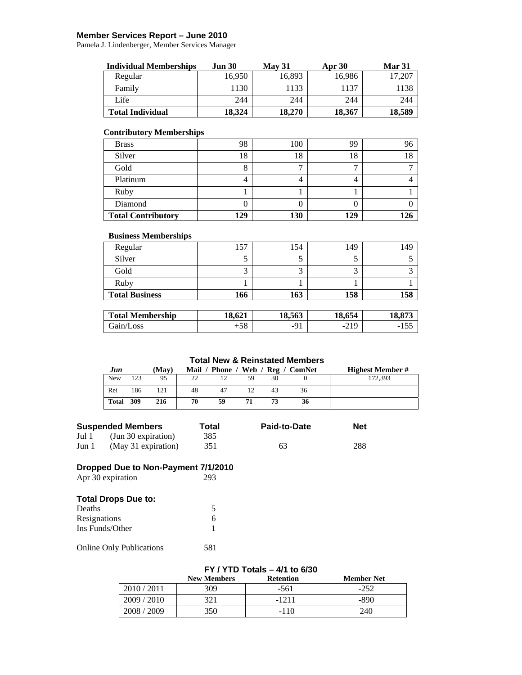#### **Member Services Report – June 2010**

Pamela J. Lindenberger, Member Services Manager

| <b>Individual Memberships</b> | <b>Jun 30</b> | <b>May 31</b> | <b>Apr</b> 30 | <b>Mar 31</b> |
|-------------------------------|---------------|---------------|---------------|---------------|
| Regular                       | 16.950        | 16,893        | 16.986        | 17,207        |
| Family                        | 1130          | 1133          | 137           | 138           |
| Life                          | 244           | 244           | 244           | 244           |
| <b>Total Individual</b>       | 18,324        | 18,270        | 18,367        | 18,589        |

#### **Contributory Memberships**

| <b>Brass</b>              | 98  | 100 | 99  |     |
|---------------------------|-----|-----|-----|-----|
| Silver                    | 18  | 18  | 18  | ıο  |
| Gold                      | ◠   |     |     |     |
| Platinum                  |     |     | 4   |     |
| Ruby                      |     |     |     |     |
| Diamond                   |     |     |     |     |
| <b>Total Contributory</b> | 129 | 130 | 129 | 126 |

#### **Business Memberships**

| <b>Total Business</b> | 166 | 163 | 158 | 158 |
|-----------------------|-----|-----|-----|-----|
| Ruby                  |     |     |     |     |
| Gold                  |     |     |     |     |
| Silver                |     |     |     |     |
| Regular               | 157 | 154 | 149 | 49  |

| <b>Total Membership</b> | 10 M1<br>18.621 | 18.563 | 18.654                      | 10 O T 1<br>10.075 |
|-------------------------|-----------------|--------|-----------------------------|--------------------|
| Gain/Loss               | 70<br>.C.       | - U    | 21 Q<br>-<br>ر 1 ب <i>ے</i> | -<br>ر ر           |

#### **Total New & Reinstated Members**

| Jun        |     | 'Mav) | Mail |    |    |    | Phone / Web / Reg / ComNet | <b>Highest Member #</b> |
|------------|-----|-------|------|----|----|----|----------------------------|-------------------------|
| <b>New</b> | 123 | 95    | 22   | 12 | 59 | 30 |                            | 172,393                 |
| Rei        | 186 | 121   | 48   |    |    | 43 | 36                         |                         |
| Total      | 309 | 216   | 70   | 59 | 71 | 73 | 36                         |                         |

|       | <b>Suspended Members</b> | Total | Paid-to-Date | <b>Net</b> |
|-------|--------------------------|-------|--------------|------------|
| Jul 1 | (Jun 30 expiration)      | 385   |              |            |
| Jun 1 | (May 31 expiration)      | 351   | 63           | 288        |

#### **Dropped Due to Non-Payment 7/1/2010**

| Apr 30 expiration          | 293 |
|----------------------------|-----|
| <b>Total Drops Due to:</b> |     |
| Deaths                     | 5   |
| Resignations               | 6   |
| Ins Funds/Other            |     |

Online Only Publications 581

#### **FY / YTD Totals – 4/1 to 6/30**

|                | <b>New Members</b> | <b>Retention</b> | <b>Member Net</b> |
|----------------|--------------------|------------------|-------------------|
| 2010 / 2011    | 309                | $-561$           | $-252$            |
| 2009/2010      | 301<br>ا ک         | $-1211$          | -890              |
| 2009<br>2008 / | 350                | $-110$           | 240               |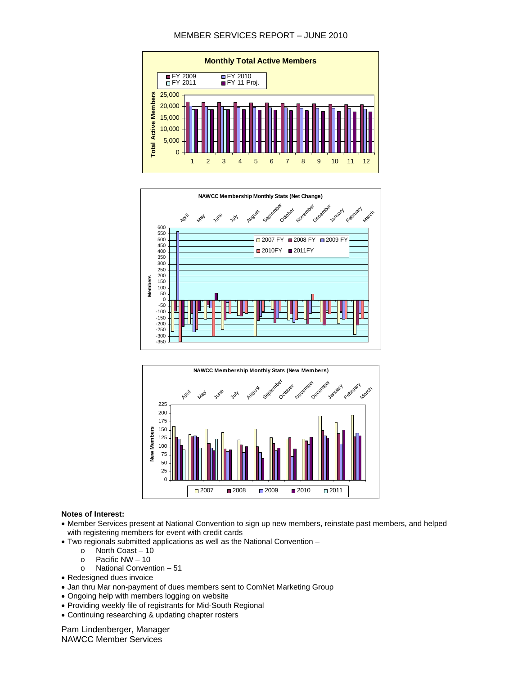#### MEMBER SERVICES REPORT – JUNE 2010







#### **Notes of Interest:**

- Member Services present at National Convention to sign up new members, reinstate past members, and helped with registering members for event with credit cards
- Two regionals submitted applications as well as the National Convention
	- o North Coast 10
	- o Pacific NW 10
	- o National Convention 51
- Redesigned dues invoice
- Jan thru Mar non-payment of dues members sent to ComNet Marketing Group
- Ongoing help with members logging on website
- Providing weekly file of registrants for Mid-South Regional
- Continuing researching & updating chapter rosters

Pam Lindenberger, Manager NAWCC Member Services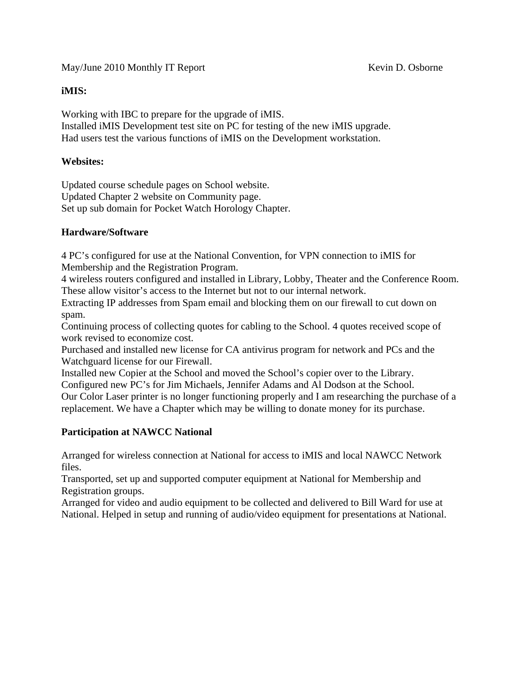### **iMIS:**

Working with IBC to prepare for the upgrade of iMIS. Installed iMIS Development test site on PC for testing of the new iMIS upgrade. Had users test the various functions of iMIS on the Development workstation.

### **Websites:**

Updated course schedule pages on School website. Updated Chapter 2 website on Community page. Set up sub domain for Pocket Watch Horology Chapter.

### **Hardware/Software**

4 PC's configured for use at the National Convention, for VPN connection to iMIS for Membership and the Registration Program.

4 wireless routers configured and installed in Library, Lobby, Theater and the Conference Room. These allow visitor's access to the Internet but not to our internal network.

Extracting IP addresses from Spam email and blocking them on our firewall to cut down on spam.

Continuing process of collecting quotes for cabling to the School. 4 quotes received scope of work revised to economize cost.

Purchased and installed new license for CA antivirus program for network and PCs and the Watchguard license for our Firewall.

Installed new Copier at the School and moved the School's copier over to the Library. Configured new PC's for Jim Michaels, Jennifer Adams and Al Dodson at the School.

Our Color Laser printer is no longer functioning properly and I am researching the purchase of a replacement. We have a Chapter which may be willing to donate money for its purchase.

### **Participation at NAWCC National**

Arranged for wireless connection at National for access to iMIS and local NAWCC Network files.

Transported, set up and supported computer equipment at National for Membership and Registration groups.

Arranged for video and audio equipment to be collected and delivered to Bill Ward for use at National. Helped in setup and running of audio/video equipment for presentations at National.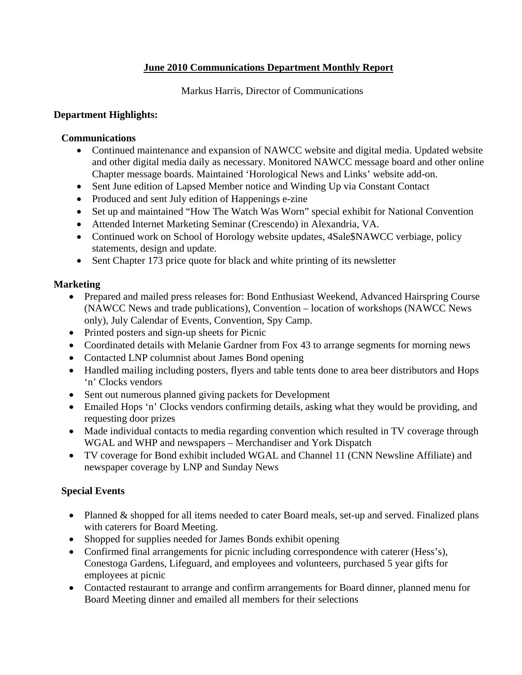# **June 2010 Communications Department Monthly Report**

Markus Harris, Director of Communications

# **Department Highlights:**

# **Communications**

- Continued maintenance and expansion of NAWCC website and digital media. Updated website and other digital media daily as necessary. Monitored NAWCC message board and other online Chapter message boards. Maintained 'Horological News and Links' website add-on.
- Sent June edition of Lapsed Member notice and Winding Up via Constant Contact
- Produced and sent July edition of Happenings e-zine
- Set up and maintained "How The Watch Was Worn" special exhibit for National Convention
- Attended Internet Marketing Seminar (Crescendo) in Alexandria, VA.
- Continued work on School of Horology website updates, 4Sale \$NAWCC verbiage, policy statements, design and update.
- Sent Chapter 173 price quote for black and white printing of its newsletter

# **Marketing**

- Prepared and mailed press releases for: Bond Enthusiast Weekend, Advanced Hairspring Course (NAWCC News and trade publications), Convention – location of workshops (NAWCC News only), July Calendar of Events, Convention, Spy Camp.
- Printed posters and sign-up sheets for Picnic
- Coordinated details with Melanie Gardner from Fox 43 to arrange segments for morning news
- Contacted LNP columnist about James Bond opening
- Handled mailing including posters, flyers and table tents done to area beer distributors and Hops 'n' Clocks vendors
- Sent out numerous planned giving packets for Development
- Emailed Hops 'n' Clocks vendors confirming details, asking what they would be providing, and requesting door prizes
- Made individual contacts to media regarding convention which resulted in TV coverage through WGAL and WHP and newspapers – Merchandiser and York Dispatch
- TV coverage for Bond exhibit included WGAL and Channel 11 (CNN Newsline Affiliate) and newspaper coverage by LNP and Sunday News

# **Special Events**

- Planned & shopped for all items needed to cater Board meals, set-up and served. Finalized plans with caterers for Board Meeting.
- Shopped for supplies needed for James Bonds exhibit opening
- Confirmed final arrangements for picnic including correspondence with caterer (Hess's), Conestoga Gardens, Lifeguard, and employees and volunteers, purchased 5 year gifts for employees at picnic
- Contacted restaurant to arrange and confirm arrangements for Board dinner, planned menu for Board Meeting dinner and emailed all members for their selections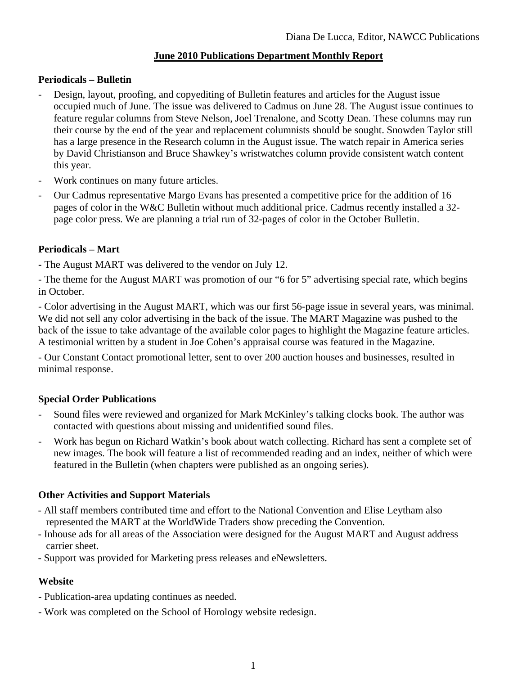# **June 2010 Publications Department Monthly Report**

### **Periodicals – Bulletin**

- Design, layout, proofing, and copyediting of Bulletin features and articles for the August issue occupied much of June. The issue was delivered to Cadmus on June 28. The August issue continues to feature regular columns from Steve Nelson, Joel Trenalone, and Scotty Dean. These columns may run their course by the end of the year and replacement columnists should be sought. Snowden Taylor still has a large presence in the Research column in the August issue. The watch repair in America series by David Christianson and Bruce Shawkey's wristwatches column provide consistent watch content this year.
- Work continues on many future articles.
- Our Cadmus representative Margo Evans has presented a competitive price for the addition of 16 pages of color in the W&C Bulletin without much additional price. Cadmus recently installed a 32 page color press. We are planning a trial run of 32-pages of color in the October Bulletin.

# **Periodicals – Mart**

**-** The August MART was delivered to the vendor on July 12.

- The theme for the August MART was promotion of our "6 for 5" advertising special rate, which begins in October.

- Color advertising in the August MART, which was our first 56-page issue in several years, was minimal. We did not sell any color advertising in the back of the issue. The MART Magazine was pushed to the back of the issue to take advantage of the available color pages to highlight the Magazine feature articles. A testimonial written by a student in Joe Cohen's appraisal course was featured in the Magazine.

- Our Constant Contact promotional letter, sent to over 200 auction houses and businesses, resulted in minimal response.

### **Special Order Publications**

- Sound files were reviewed and organized for Mark McKinley's talking clocks book. The author was contacted with questions about missing and unidentified sound files.
- Work has begun on Richard Watkin's book about watch collecting. Richard has sent a complete set of new images. The book will feature a list of recommended reading and an index, neither of which were featured in the Bulletin (when chapters were published as an ongoing series).

# **Other Activities and Support Materials**

- All staff members contributed time and effort to the National Convention and Elise Leytham also represented the MART at the WorldWide Traders show preceding the Convention.
- Inhouse ads for all areas of the Association were designed for the August MART and August address carrier sheet.
- Support was provided for Marketing press releases and eNewsletters.

# **Website**

- Publication-area updating continues as needed.
- Work was completed on the School of Horology website redesign.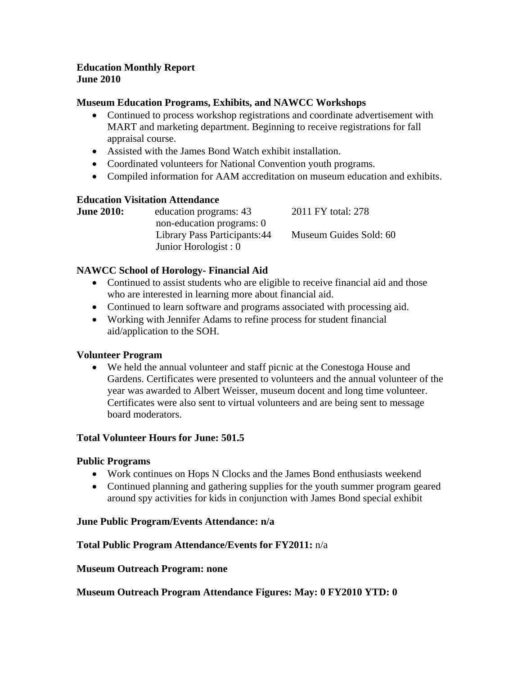### **Education Monthly Report June 2010**

### **Museum Education Programs, Exhibits, and NAWCC Workshops**

- Continued to process workshop registrations and coordinate advertisement with MART and marketing department. Beginning to receive registrations for fall appraisal course.
- Assisted with the James Bond Watch exhibit installation.
- Coordinated volunteers for National Convention youth programs.
- Compiled information for AAM accreditation on museum education and exhibits.

#### **Education Visitation Attendance**

| education programs: 43        | 2011 FY total: 278     |
|-------------------------------|------------------------|
| non-education programs: 0     |                        |
| Library Pass Participants: 44 | Museum Guides Sold: 60 |
| Junior Horologist : 0         |                        |
|                               |                        |

### **NAWCC School of Horology- Financial Aid**

- Continued to assist students who are eligible to receive financial aid and those who are interested in learning more about financial aid.
- Continued to learn software and programs associated with processing aid.
- Working with Jennifer Adams to refine process for student financial aid/application to the SOH.

#### **Volunteer Program**

• We held the annual volunteer and staff picnic at the Conestoga House and Gardens. Certificates were presented to volunteers and the annual volunteer of the year was awarded to Albert Weisser, museum docent and long time volunteer. Certificates were also sent to virtual volunteers and are being sent to message board moderators.

#### **Total Volunteer Hours for June: 501.5**

#### **Public Programs**

- Work continues on Hops N Clocks and the James Bond enthusiasts weekend
- Continued planning and gathering supplies for the youth summer program geared around spy activities for kids in conjunction with James Bond special exhibit

#### **June Public Program/Events Attendance: n/a**

#### **Total Public Program Attendance/Events for FY2011:** n/a

#### **Museum Outreach Program: none**

**Museum Outreach Program Attendance Figures: May: 0 FY2010 YTD: 0**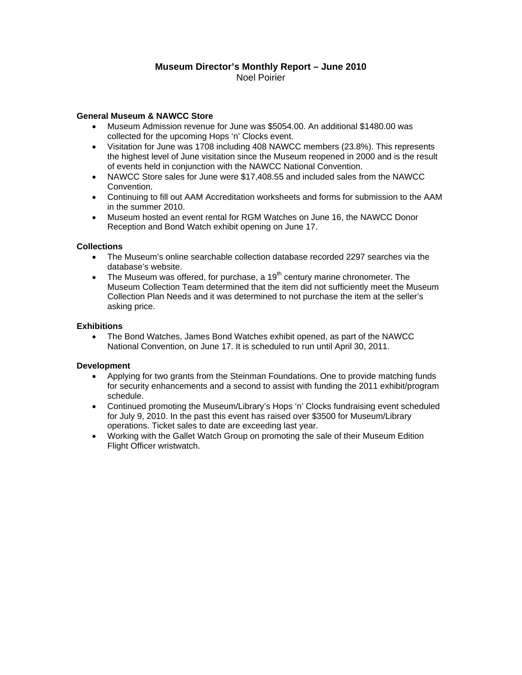#### **Museum Director's Monthly Report – June 2010**  Noel Poirier

#### **General Museum & NAWCC Store**

- Museum Admission revenue for June was \$5054.00. An additional \$1480.00 was collected for the upcoming Hops 'n' Clocks event.
- Visitation for June was 1708 including 408 NAWCC members (23.8%). This represents the highest level of June visitation since the Museum reopened in 2000 and is the result of events held in conjunction with the NAWCC National Convention.
- NAWCC Store sales for June were \$17,408.55 and included sales from the NAWCC Convention.
- Continuing to fill out AAM Accreditation worksheets and forms for submission to the AAM in the summer 2010.
- Museum hosted an event rental for RGM Watches on June 16, the NAWCC Donor Reception and Bond Watch exhibit opening on June 17.

#### **Collections**

- The Museum's online searchable collection database recorded 2297 searches via the database's website.
- The Museum was offered, for purchase, a  $19<sup>th</sup>$  century marine chronometer. The Museum Collection Team determined that the item did not sufficiently meet the Museum Collection Plan Needs and it was determined to not purchase the item at the seller's asking price.

#### **Exhibitions**

• The Bond Watches, James Bond Watches exhibit opened, as part of the NAWCC National Convention, on June 17. It is scheduled to run until April 30, 2011.

#### **Development**

- Applying for two grants from the Steinman Foundations. One to provide matching funds for security enhancements and a second to assist with funding the 2011 exhibit/program schedule.
- Continued promoting the Museum/Library's Hops 'n' Clocks fundraising event scheduled for July 9, 2010. In the past this event has raised over \$3500 for Museum/Library operations. Ticket sales to date are exceeding last year.
- Working with the Gallet Watch Group on promoting the sale of their Museum Edition Flight Officer wristwatch.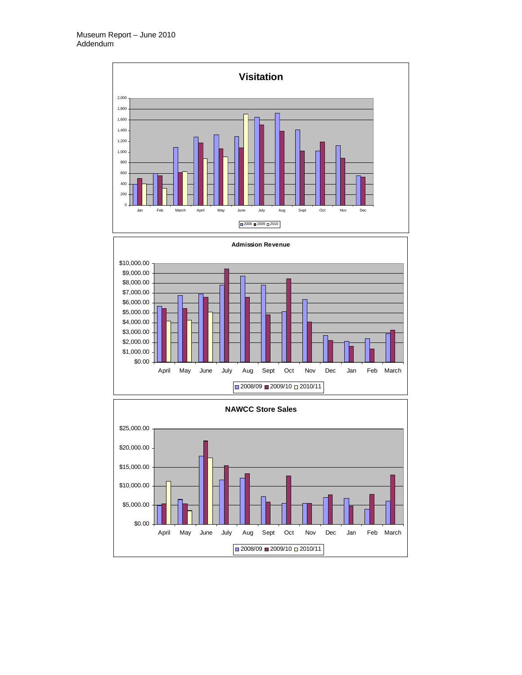



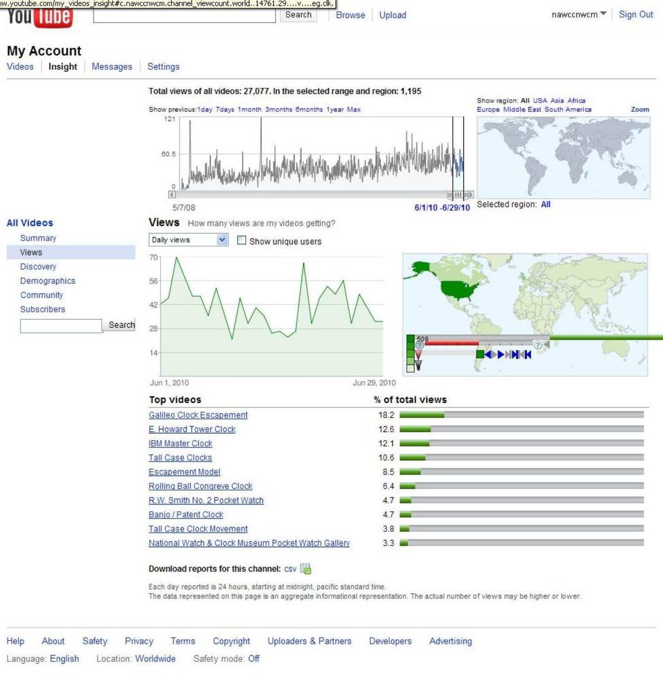| w.youtube.com/my_videos_insight#c.nawccnwcm.channel_viewcount.world14761.29veq.clk.)_ |        |               |        |             |          |
|---------------------------------------------------------------------------------------|--------|---------------|--------|-------------|----------|
| <b>You lube</b>                                                                       | Search | <b>Browse</b> | Upload | nawccnwcm ▼ | Sign Out |

# **My Account**

Videos Insight

**Views** 

Messages Settings



#### Download reports for this channel: csv

Each day reported is 24 hours, starting at midnight, pacific standard time. The data represented on this page is an aggregate informational representation. The actual number of views may be higher or lower.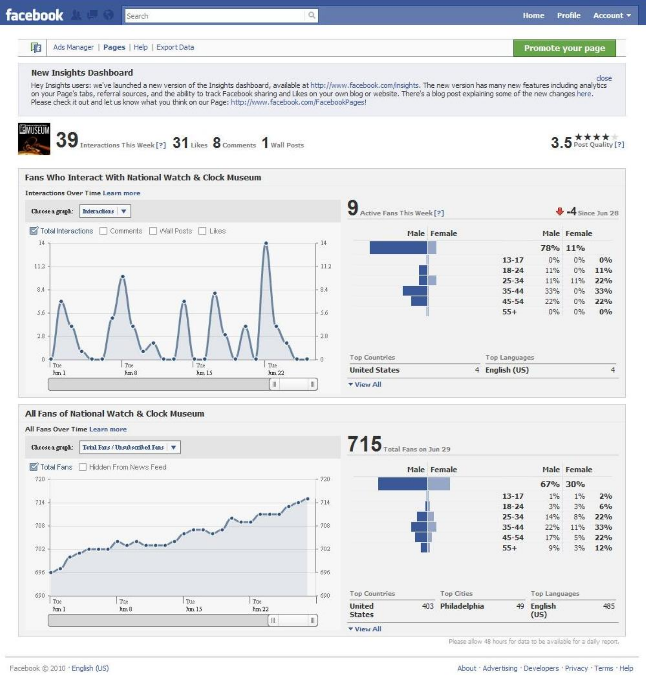|                | facebook                                                                                               | Search       |                                                             |               | Q                     |                                                                                                                                                                                                                                                                                                                                                                              |             |                    | Home         | Profile            | Account v |
|----------------|--------------------------------------------------------------------------------------------------------|--------------|-------------------------------------------------------------|---------------|-----------------------|------------------------------------------------------------------------------------------------------------------------------------------------------------------------------------------------------------------------------------------------------------------------------------------------------------------------------------------------------------------------------|-------------|--------------------|--------------|--------------------|-----------|
| 中              | Ads Manager   Pages   Help   Export Data                                                               |              |                                                             |               |                       |                                                                                                                                                                                                                                                                                                                                                                              |             |                    |              | Promote your page  |           |
|                | <b>New Insights Dashboard</b>                                                                          |              |                                                             |               |                       |                                                                                                                                                                                                                                                                                                                                                                              |             |                    |              |                    | close     |
|                | Please check it out and let us know what you think on our Page: http://www.facebook.com/FacebookPages! |              |                                                             |               |                       | Hey Insights users: we've launched a new version of the Insights dashboard, available at http://www.facebook.com/insights. The new version has many new features including analytics<br>on your Page's tabs, referral sources, and the ability to track Facebook sharing and Likes on your own blog or website. There's a blog post explaining some of the new changes here. |             |                    |              |                    |           |
|                | 39                                                                                                     |              | Interactions This Week [?] 31 Likes 8 Comments 1 Wall Posts |               |                       |                                                                                                                                                                                                                                                                                                                                                                              |             |                    |              | 5 Post Quality [?] |           |
|                | Fans Who Interact With National Watch & Clock Museum<br><b>Interactions Over Time Learn more</b>       |              |                                                             |               |                       |                                                                                                                                                                                                                                                                                                                                                                              |             |                    |              |                    |           |
|                | Interactions<br>Choose a graph:                                                                        |              |                                                             |               |                       | 9<br>Active Fans This Week [?]                                                                                                                                                                                                                                                                                                                                               |             |                    |              | $-4$ Since Jun 28  |           |
|                | Total Interactions   Comments   Wall Posts   Likes                                                     |              |                                                             |               |                       |                                                                                                                                                                                                                                                                                                                                                                              | Male Female |                    |              | Male Female        |           |
| 14             |                                                                                                        |              |                                                             |               | 14                    |                                                                                                                                                                                                                                                                                                                                                                              |             |                    |              | 78% 11%            |           |
| 112            |                                                                                                        |              |                                                             |               | 112                   |                                                                                                                                                                                                                                                                                                                                                                              |             | $13 - 17$          | $0\%$        | $0\%$              | 0%        |
|                |                                                                                                        |              |                                                             |               |                       |                                                                                                                                                                                                                                                                                                                                                                              |             | $18 - 24$          | 11%          | $0\%$              | 11%       |
|                |                                                                                                        |              |                                                             |               |                       |                                                                                                                                                                                                                                                                                                                                                                              |             | $25 - 34$          | 11%          | 11%                | 22%       |
| 8.4            |                                                                                                        |              |                                                             |               | 84                    |                                                                                                                                                                                                                                                                                                                                                                              |             | $35 - 44$          | 33%          | $0\%$              | 33%       |
| 56             |                                                                                                        |              |                                                             |               | 56                    |                                                                                                                                                                                                                                                                                                                                                                              |             | $45 - 54$<br>$55+$ | 22%<br>$0\%$ | $0\%$<br>$0\%$     | 22%<br>0% |
| 28<br>$\alpha$ |                                                                                                        |              |                                                             |               | 28<br>$\Omega$        | <b>Top Countries</b>                                                                                                                                                                                                                                                                                                                                                         |             | Top Languages      |              |                    |           |
|                | Tue<br>Jun 1                                                                                           | Tue<br>Jun 8 | Tue<br>Jun 15                                               | Tue<br>Jun 22 |                       | <b>United States</b>                                                                                                                                                                                                                                                                                                                                                         |             | 4 English (US)     |              |                    |           |
|                |                                                                                                        |              |                                                             | $\,$ III      | $\parallel \parallel$ | <b>v</b> View All                                                                                                                                                                                                                                                                                                                                                            |             |                    |              |                    |           |
|                |                                                                                                        |              |                                                             |               |                       |                                                                                                                                                                                                                                                                                                                                                                              |             |                    |              |                    |           |
|                |                                                                                                        |              |                                                             |               |                       |                                                                                                                                                                                                                                                                                                                                                                              |             |                    |              |                    |           |





Please allow 48 hours for data to be available for a daily report.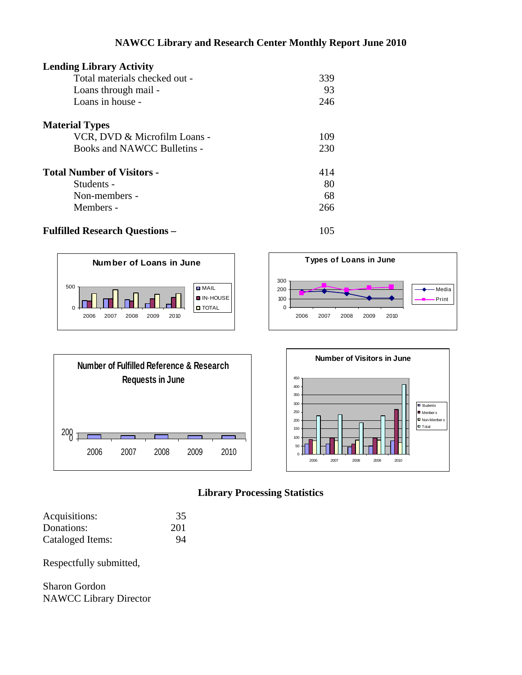# **NAWCC Library and Research Center Monthly Report June 2010**

| <b>Lending Library Activity</b>   |     |
|-----------------------------------|-----|
| Total materials checked out -     | 339 |
| Loans through mail -              | 93  |
| Loans in house -                  | 246 |
| <b>Material Types</b>             |     |
| VCR, DVD & Microfilm Loans -      | 109 |
| Books and NAWCC Bulletins -       | 230 |
| <b>Total Number of Visitors -</b> | 414 |
| Students -                        | 80  |
| Non-members -                     | 68  |
| Members -                         | 266 |

**D** MAIL IN-HOUSE **O** TOTAL

# **Fulfilled Research Questions –** 105

0

П

500





**Number of Loans in June**

2006 2007 2008 2009 2010





| Acquisitions:    | 35  |
|------------------|-----|
| Donations:       | 201 |
| Cataloged Items: | 94  |

Respectfully submitted,

Sharon Gordon NAWCC Library Director